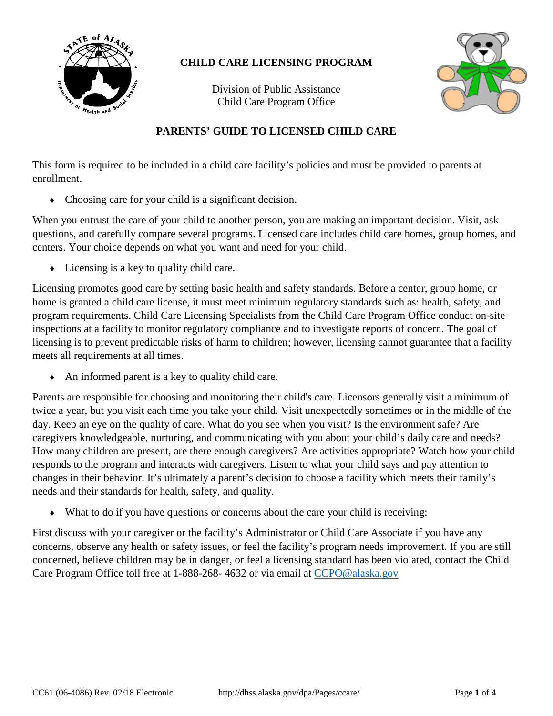

# **CHILD CARE LICENSING PROGRAM**

Division of Public Assistance Child Care Program Office



# **PARENTS' GUIDE TO LICENSED CHILD CARE**

This form is required to be included in a child care facility's policies and must be provided to parents at enrollment.

♦ Choosing care for your child is a significant decision.

When you entrust the care of your child to another person, you are making an important decision. Visit, ask questions, and carefully compare several programs. Licensed care includes child care homes, group homes, and centers. Your choice depends on what you want and need for your child.

♦ Licensing is a key to quality child care.

Licensing promotes good care by setting basic health and safety standards. Before a center, group home, or home is granted a child care license, it must meet minimum regulatory standards such as: health, safety, and program requirements. Child Care Licensing Specialists from the Child Care Program Office conduct on-site inspections at a facility to monitor regulatory compliance and to investigate reports of concern. The goal of licensing is to prevent predictable risks of harm to children; however, licensing cannot guarantee that a facility meets all requirements at all times.

♦ An informed parent is a key to quality child care.

Parents are responsible for choosing and monitoring their child's care. Licensors generally visit a minimum of twice a year, but you visit each time you take your child. Visit unexpectedly sometimes or in the middle of the day. Keep an eye on the quality of care. What do you see when you visit? Is the environment safe? Are caregivers knowledgeable, nurturing, and communicating with you about your child's daily care and needs? How many children are present, are there enough caregivers? Are activities appropriate? Watch how your child responds to the program and interacts with caregivers. Listen to what your child says and pay attention to changes in their behavior. It's ultimately a parent's decision to choose a facility which meets their family's needs and their standards for health, safety, and quality.

♦ What to do if you have questions or concerns about the care your child is receiving:

First discuss with your caregiver or the facility's Administrator or Child Care Associate if you have any concerns, observe any health or safety issues, or feel the facility's program needs improvement. If you are still concerned, believe children may be in danger, or feel a licensing standard has been violated, contact the Child Care Program Office toll free at 1-888-268- 4632 or via email at [CCPO@alaska.gov](mailto:CCPO@alaska.gov)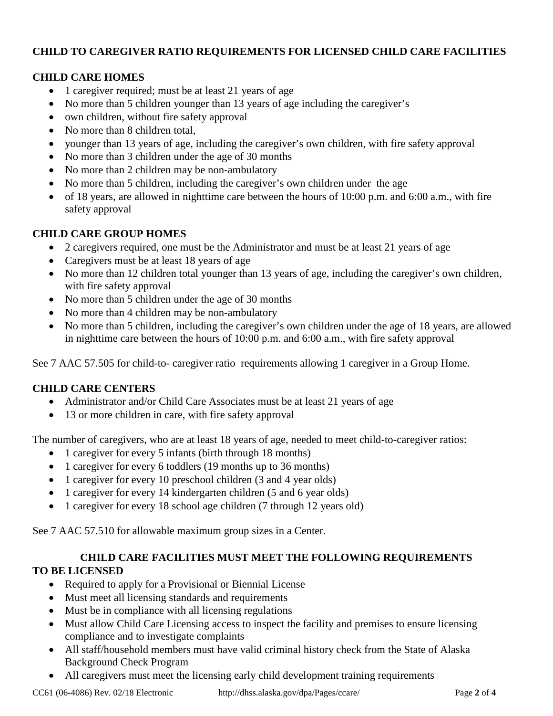# **CHILD TO CAREGIVER RATIO REQUIREMENTS FOR LICENSED CHILD CARE FACILITIES**

# **CHILD CARE HOMES**

- 1 caregiver required; must be at least 21 years of age
- No more than 5 children younger than 13 years of age including the caregiver's
- own children, without fire safety approval
- No more than 8 children total,
- younger than 13 years of age, including the caregiver's own children, with fire safety approval
- No more than 3 children under the age of 30 months
- No more than 2 children may be non-ambulatory
- No more than 5 children, including the caregiver's own children under the age
- of 18 years, are allowed in nighttime care between the hours of 10:00 p.m. and 6:00 a.m., with fire safety approval

# **CHILD CARE GROUP HOMES**

- 2 caregivers required, one must be the Administrator and must be at least 21 years of age
- Caregivers must be at least 18 years of age
- No more than 12 children total younger than 13 years of age, including the caregiver's own children, with fire safety approval
- No more than 5 children under the age of 30 months
- No more than 4 children may be non-ambulatory
- No more than 5 children, including the caregiver's own children under the age of 18 years, are allowed in nighttime care between the hours of 10:00 p.m. and 6:00 a.m., with fire safety approval

See 7 AAC 57.505 for child-to- caregiver ratio requirements allowing 1 caregiver in a Group Home.

#### **CHILD CARE CENTERS**

- Administrator and/or Child Care Associates must be at least 21 years of age
- 13 or more children in care, with fire safety approval

The number of caregivers, who are at least 18 years of age, needed to meet child-to-caregiver ratios:

- 1 caregiver for every 5 infants (birth through 18 months)
- 1 caregiver for every 6 toddlers (19 months up to 36 months)
- 1 caregiver for every 10 preschool children (3 and 4 year olds)
- 1 caregiver for every 14 kindergarten children (5 and 6 year olds)
- 1 caregiver for every 18 school age children (7 through 12 years old)

See 7 AAC 57.510 for allowable maximum group sizes in a Center.

# **CHILD CARE FACILITIES MUST MEET THE FOLLOWING REQUIREMENTS TO BE LICENSED**

- Required to apply for a Provisional or Biennial License
- Must meet all licensing standards and requirements
- Must be in compliance with all licensing regulations
- Must allow Child Care Licensing access to inspect the facility and premises to ensure licensing compliance and to investigate complaints
- All staff/household members must have valid criminal history check from the State of Alaska Background Check Program
- All caregivers must meet the licensing early child development training requirements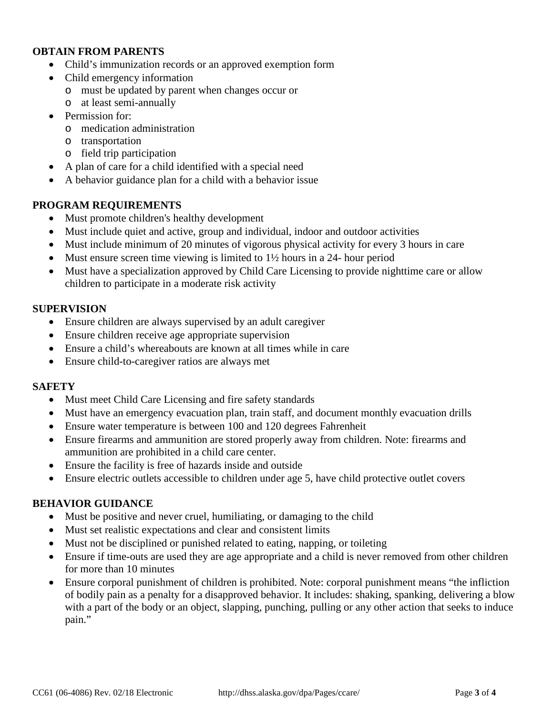### **OBTAIN FROM PARENTS**

- Child's immunization records or an approved exemption form
- Child emergency information
	- o must be updated by parent when changes occur or
	- o at least semi-annually
- Permission for:
	- o medication administration
	- o transportation
	- o field trip participation
- A plan of care for a child identified with a special need
- A behavior guidance plan for a child with a behavior issue

### **PROGRAM REQUIREMENTS**

- Must promote children's healthy development
- Must include quiet and active, group and individual, indoor and outdoor activities
- Must include minimum of 20 minutes of vigorous physical activity for every 3 hours in care
- Must ensure screen time viewing is limited to  $1\frac{1}{2}$  hours in a 24- hour period
- Must have a specialization approved by Child Care Licensing to provide nighttime care or allow children to participate in a moderate risk activity

### **SUPERVISION**

- Ensure children are always supervised by an adult caregiver
- Ensure children receive age appropriate supervision
- Ensure a child's whereabouts are known at all times while in care
- Ensure child-to-caregiver ratios are always met

#### **SAFETY**

- Must meet Child Care Licensing and fire safety standards
- Must have an emergency evacuation plan, train staff, and document monthly evacuation drills
- Ensure water temperature is between 100 and 120 degrees Fahrenheit
- Ensure firearms and ammunition are stored properly away from children. Note: firearms and ammunition are prohibited in a child care center.
- Ensure the facility is free of hazards inside and outside
- Ensure electric outlets accessible to children under age 5, have child protective outlet covers

## **BEHAVIOR GUIDANCE**

- Must be positive and never cruel, humiliating, or damaging to the child
- Must set realistic expectations and clear and consistent limits
- Must not be disciplined or punished related to eating, napping, or toileting
- Ensure if time-outs are used they are age appropriate and a child is never removed from other children for more than 10 minutes
- Ensure corporal punishment of children is prohibited. Note: corporal punishment means "the infliction of bodily pain as a penalty for a disapproved behavior. It includes: shaking, spanking, delivering a blow with a part of the body or an object, slapping, punching, pulling or any other action that seeks to induce pain."